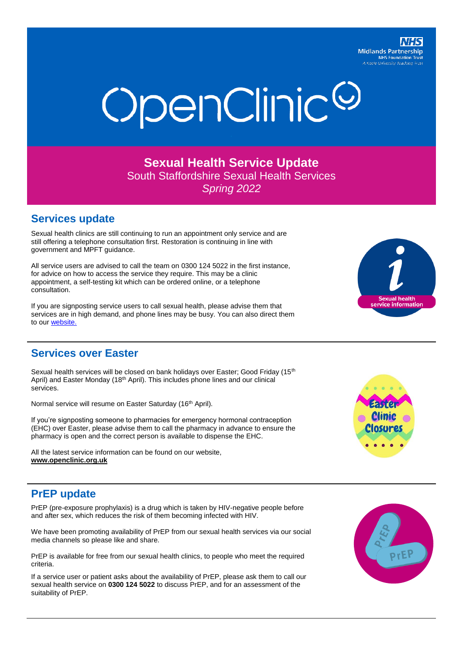**Midlands Partnership NHS Foundation Tru** 



**Sexual Health Service Update** South Staffordshire Sexual Health Services *Spring 2022*

### **Services update**

Sexual health clinics are still continuing to run an appointment only service and are still offering a telephone consultation first. Restoration is continuing in line with government and MPFT guidance.

All service users are advised to call the team on 0300 124 5022 in the first instance, for advice on how to access the service they require. This may be a clinic appointment, a self-testing kit which can be ordered online, or a telephone consultation.

If you are signposting service users to call sexual health, please advise them that services are in high demand, and phone lines may be busy. You can also direct them to our website.



#### **Services over Easter**

Sexual health services will be closed on bank holidays over Easter; Good Friday (15<sup>th</sup> April) and Easter Monday (18<sup>th</sup> April). This includes phone lines and our clinical services.

Normal service will resume on Easter Saturday (16<sup>th</sup> April).

If you're signposting someone to pharmacies for emergency hormonal contraception (EHC) over Easter, please advise them to call the pharmacy in advance to ensure the pharmacy is open and the correct person is available to dispense the EHC.

All the latest service information can be found on our website, **www.openclinic.org.uk**



### **PrEP update**

PrEP (pre-exposure prophylaxis) is a drug which is taken by HIV-negative people before and after sex, which reduces the risk of them becoming infected with HIV.

We have been promoting availability of PrEP from our sexual health services via our social media channels so please like and share.

PrEP is available for free from our sexual health clinics, to people who meet the required criteria.

If a service user or patient asks about the availability of PrEP, please ask them to call our sexual health service on **0300 124 5022** to discuss PrEP, and for an assessment of the suitability of PrEP.